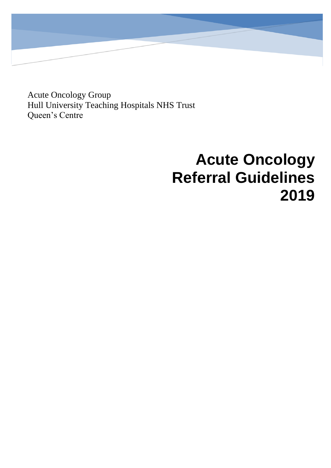Acute Oncology Group Hull University Teaching Hospitals NHS Trust Queen's Centre

# **Acute Oncology Referral Guidelines 2019**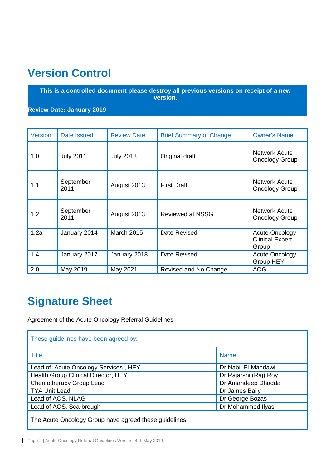# <span id="page-1-0"></span>**Version Control**

**This is a controlled document please destroy all previous versions on receipt of a new version.**

**Review Date: January 2019**

| <b>Version</b> | Date Issued       | <b>Review Date</b> | <b>Brief Summary of Change</b> | <b>Owner's Name</b>                                      |
|----------------|-------------------|--------------------|--------------------------------|----------------------------------------------------------|
| 1.0            | <b>July 2011</b>  | <b>July 2013</b>   | Original draft                 | <b>Network Acute</b><br><b>Oncology Group</b>            |
| 1.1            | September<br>2011 | August 2013        | <b>First Draft</b>             | <b>Network Acute</b><br><b>Oncology Group</b>            |
| 1.2            | September<br>2011 | August 2013        | <b>Reviewed at NSSG</b>        | <b>Network Acute</b><br><b>Oncology Group</b>            |
| 1.2a           | January 2014      | <b>March 2015</b>  | Date Revised                   | <b>Acute Oncology</b><br><b>Clinical Expert</b><br>Group |
| 1.4            | January 2017      | January 2018       | Date Revised                   | <b>Acute Oncology</b><br><b>Group HEY</b>                |
| 2.0            | May 2019          | May 2021           | Revised and No Change          | <b>AOG</b>                                               |

# <span id="page-1-1"></span>**Signature Sheet**

Agreement of the Acute Oncology Referral Guidelines

| These guidelines have been agreed by:                 |                       |  |  |  |
|-------------------------------------------------------|-----------------------|--|--|--|
| <b>Title</b>                                          | <b>Name</b>           |  |  |  |
| Lead of Acute Oncology Services, HEY                  | Dr Nabil El-Mahdawi   |  |  |  |
| Health Group Clinical Director, HEY                   | Dr Rajarshi (Raj) Roy |  |  |  |
| Chemotherapy Group Lead                               | Dr Amandeep Dhadda    |  |  |  |
| <b>TYA Unit Lead</b>                                  | Dr James Baily        |  |  |  |
| Lead of AOS, NLAG                                     | Dr George Bozas       |  |  |  |
| Lead of AOS, Scarbrough                               | Dr Mohammed Ilyas     |  |  |  |
| The Acute Oncology Group have agreed these guidelines |                       |  |  |  |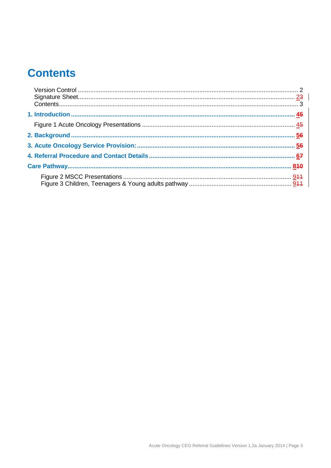# <span id="page-2-0"></span>**Contents**

<span id="page-2-1"></span>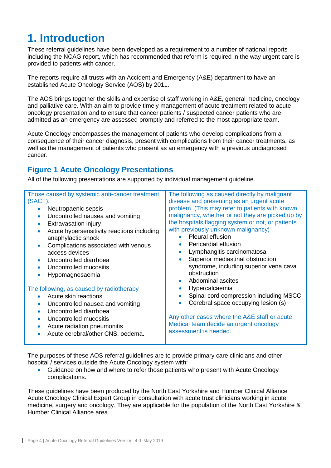### **1. Introduction**

These referral guidelines have been developed as a requirement to a number of national reports including the NCAG report, which has recommended that reform is required in the way urgent care is provided to patients with cancer.

The reports require all trusts with an Accident and Emergency (A&E) department to have an established Acute Oncology Service (AOS) by 2011.

The AOS brings together the skills and expertise of staff working in A&E, general medicine, oncology and palliative care. With an aim to provide timely management of acute treatment related to acute oncology presentation and to ensure that cancer patients / suspected cancer patients who are admitted as an emergency are assessed promptly and referred to the most appropriate team.

Acute Oncology encompasses the management of patients who develop complications from a consequence of their cancer diagnosis, present with complications from their cancer treatments, as well as the management of patients who present as an emergency with a previous undiagnosed cancer.

### <span id="page-3-0"></span>**Figure 1 Acute Oncology Presentations**

All of the following presentations are supported by individual management guideline.

| Those caused by systemic anti-cancer treatment<br>(SACT).<br>Neutropaenic sepsis<br>$\bullet$<br>Uncontrolled nausea and vomiting<br>$\bullet$<br>Extravasation injury<br>$\bullet$<br>Acute hypersensitivity reactions including<br>$\bullet$<br>anaphylactic shock | The following as caused directly by malignant<br>disease and presenting as an urgent acute<br>problem. (This may refer to patients with known<br>malignancy, whether or not they are picked up by<br>the hospitals flagging system or not, or patients<br>with previously unknown malignancy)<br>Pleural effusion<br>$\bullet$<br>Pericardial effusion<br>$\bullet$ |
|----------------------------------------------------------------------------------------------------------------------------------------------------------------------------------------------------------------------------------------------------------------------|---------------------------------------------------------------------------------------------------------------------------------------------------------------------------------------------------------------------------------------------------------------------------------------------------------------------------------------------------------------------|
| Complications associated with venous<br>$\bullet$<br>access devices<br>Uncontrolled diarrhoea<br>$\bullet$<br>Uncontrolled mucositis<br>Hypomagnesaemia                                                                                                              | Lymphangitis carcinomatosa<br>$\bullet$<br>Superior mediastinal obstruction<br>syndrome, including superior vena cava<br>obstruction<br>Abdominal ascites<br>$\bullet$                                                                                                                                                                                              |
| The following, as caused by radiotherapy<br>Acute skin reactions<br>$\bullet$                                                                                                                                                                                        | Hypercalcaemia<br>$\bullet$<br>Spinal cord compression including MSCC                                                                                                                                                                                                                                                                                               |
| Uncontrolled nausea and vomiting<br>$\bullet$<br>Uncontrolled diarrhoea<br>$\bullet$                                                                                                                                                                                 | Cerebral space occupying lesion (s)<br>$\bullet$                                                                                                                                                                                                                                                                                                                    |
| Uncontrolled mucositis<br>$\bullet$<br>Acute radiation pneumonitis<br>$\bullet$<br>Acute cerebral/other CNS, oedema.                                                                                                                                                 | Any other cases where the A&E staff or acute<br>Medical team decide an urgent oncology<br>assessment is needed.                                                                                                                                                                                                                                                     |

The purposes of these AOS referral guidelines are to provide primary care clinicians and other hospital / services outside the Acute Oncology system with:

 Guidance on how and where to refer those patients who present with Acute Oncology complications.

These guidelines have been produced by the North East Yorkshire and Humber Clinical Alliance Acute Oncology Clinical Expert Group in consultation with acute trust clinicians working in acute medicine, surgery and oncology. They are applicable for the population of the North East Yorkshire & Humber Clinical Alliance area.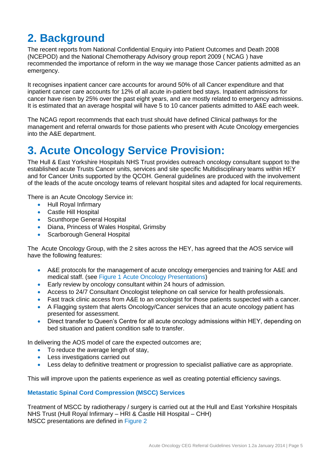# <span id="page-4-0"></span>**2. Background**

The recent reports from National Confidential Enquiry into Patient Outcomes and Death 2008 (NCEPOD) and the National Chemotherapy Advisory group report 2009 ( NCAG ) have recommended the importance of reform in the way we manage those Cancer patients admitted as an emergency.

It recognises inpatient cancer care accounts for around 50% of all Cancer expenditure and that inpatient cancer care accounts for 12% of all acute in-patient bed stays. Inpatient admissions for cancer have risen by 25% over the past eight years, and are mostly related to emergency admissions. It is estimated that an average hospital will have 5 to 10 cancer patients admitted to A&E each week.

The NCAG report recommends that each trust should have defined Clinical pathways for the management and referral onwards for those patients who present with Acute Oncology emergencies into the A&E department.

### <span id="page-4-1"></span>**3. Acute Oncology Service Provision:**

The Hull & East Yorkshire Hospitals NHS Trust provides outreach oncology consultant support to the established acute Trusts Cancer units, services and site specific Multidisciplinary teams within HEY and for Cancer Units supported by the QCOH. General guidelines are produced with the involvement of the leads of the acute oncology teams of relevant hospital sites and adapted for local requirements.

There is an Acute Oncology Service in:

- Hull Roval Infirmary
- Castle Hill Hospital
- **•** Scunthorpe General Hospital
- Diana, Princess of Wales Hospital, Grimsby
- Scarborough General Hospital

The Acute Oncology Group, with the 2 sites across the HEY, has agreed that the AOS service will have the following features:

- A&E protocols for the management of acute oncology emergencies and training for A&E and medical staff. (see Figure 1 Acute Oncology Presentations)
- Early review by oncology consultant within 24 hours of admission.
- Access to 24/7 Consultant Oncologist telephone on call service for health professionals.
- Fast track clinic access from A&E to an oncologist for those patients suspected with a cancer.
- A Flagging system that alerts Oncology/Cancer services that an acute oncology patient has presented for assessment.
- Direct transfer to Queen's Centre for all acute oncology admissions within HEY, depending on bed situation and patient condition safe to transfer.

In delivering the AOS model of care the expected outcomes are;

- To reduce the average length of stay,
- Less investigations carried out
- Less delay to definitive treatment or progression to specialist palliative care as appropriate.

This will improve upon the patients experience as well as creating potential efficiency savings.

#### **Metastatic Spinal Cord Compression (MSCC) Services**

Treatment of MSCC by radiotherapy / surgery is carried out at the Hull and East Yorkshire Hospitals NHS Trust (Hull Royal Infirmary – HRI & Castle Hill Hospital – CHH) MSCC presentations are defined in Figure 2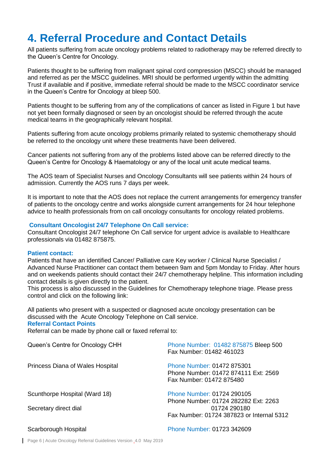### <span id="page-5-0"></span>**4. Referral Procedure and Contact Details**

All patients suffering from acute oncology problems related to radiotherapy may be referred directly to the Queen's Centre for Oncology.

Patients thought to be suffering from malignant spinal cord compression (MSCC) should be managed and referred as per the MSCC quidelines. MRI should be performed urgently within the admitting Trust if available and if positive, immediate referral should be made to the MSCC coordinator service in the Queen's Centre for Oncology at bleep 500.

Patients thought to be suffering from any of the complications of cancer as listed in Figure 1 but have not yet been formally diagnosed or seen by an oncologist should be referred through the acute medical teams in the geographically relevant hospital.

Patients suffering from acute oncology problems primarily related to systemic chemotherapy should be referred to the oncology unit where these treatments have been delivered.

Cancer patients not suffering from any of the problems listed above can be referred directly to the Queen's Centre for Oncology & Haematology or any of the local unit acute medical teams.

The AOS team of Specialist Nurses and Oncology Consultants will see patients within 24 hours of admission. Currently the AOS runs 7 days per week.

It is important to note that the AOS does not replace the current arrangements for emergency transfer of patients to the oncology centre and works alongside current arrangements for 24 hour telephone advice to health professionals from on call oncology consultants for oncology related problems.

#### **Consultant Oncologist 24/7 Telephone On Call service:**

Consultant Oncologist 24/7 telephone On Call service for urgent advice is available to Healthcare professionals via 01482 875875.

#### **Patient contact:**

Patients that have an identified Cancer/ Palliative care Key worker / Clinical Nurse Specialist / Advanced Nurse Practitioner can contact them between 9am and 5pm Monday to Friday. After hours and on weekends patients should contact their 24/7 chemotherapy helpline. This information including contact details is given directly to the patient.

This process is also discussed in the Guidelines for Chemotherapy telephone triage. Please press control and click on the following link:

All patients who present with a suspected or diagnosed acute oncology presentation can be discussed with the Acute Oncology Telephone on Call service.

#### **Referral Contact Points**

Referral can be made by phone call or faxed referral to:

| Queen's Centre for Oncology CHH                        | Phone Number: 01482 875875 Bleep 500<br>Fax Number: 01482 461023                                                                |  |
|--------------------------------------------------------|---------------------------------------------------------------------------------------------------------------------------------|--|
| Princess Diana of Wales Hospital                       | <b>Phone Number: 01472 875301</b><br>Phone Number: 01472 874111 Ext: 2569<br>Fax Number: 01472 875480                           |  |
| Scunthorpe Hospital (Ward 18)<br>Secretary direct dial | Phone Number: 01724 290105<br>Phone Number: 01724 282282 Ext: 2263<br>01724 290180<br>Fax Number: 01724 387823 or Internal 5312 |  |
| Scarborough Hospital                                   | Phone Number: 01723 342609                                                                                                      |  |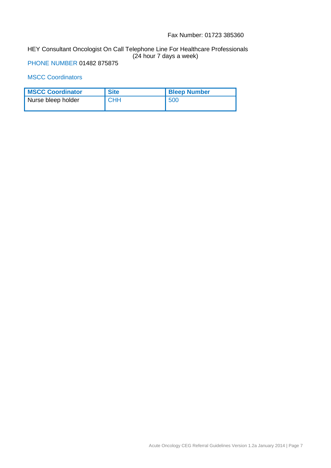#### Fax Number: 01723 385360

#### HEY Consultant Oncologist On Call Telephone Line For Healthcare Professionals (24 hour 7 days a week)

PHONE NUMBER 01482 875875

#### MSCC Coordinators

| <b>MSCC Coordinator</b> | <b>Site</b> | <b>Bleep Number</b> |
|-------------------------|-------------|---------------------|
| Nurse bleep holder      | <b>CHH</b>  | 500                 |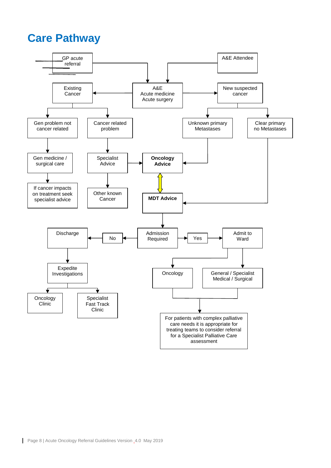### <span id="page-7-0"></span>**Care Pathway**

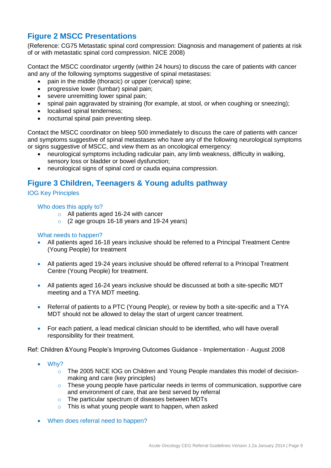### <span id="page-8-0"></span>**Figure 2 MSCC Presentations**

(Reference: CG75 Metastatic spinal cord compression: Diagnosis and management of patients at risk of or with metastatic spinal cord compression. NICE 2008)

Contact the MSCC coordinator urgently (within 24 hours) to discuss the care of patients with cancer and any of the following symptoms suggestive of spinal metastases:

- pain in the middle (thoracic) or upper (cervical) spine;
- progressive lower (lumbar) spinal pain;
- severe unremitting lower spinal pain;
- spinal pain aggravated by straining (for example, at stool, or when coughing or sneezing);
- localised spinal tenderness;
- nocturnal spinal pain preventing sleep.

Contact the MSCC coordinator on bleep 500 immediately to discuss the care of patients with cancer and symptoms suggestive of spinal metastases who have any of the following neurological symptoms or signs suggestive of MSCC, and view them as an oncological emergency:

- neurological symptoms including radicular pain, any limb weakness, difficulty in walking, sensory loss or bladder or bowel dysfunction;
- neurological signs of spinal cord or cauda equina compression.

### <span id="page-8-1"></span>**Figure 3 Children, Teenagers & Young adults pathway**

#### IOG Key Principles

#### Who does this apply to?

- o All patients aged 16-24 with cancer
- o (2 age groups 16-18 years and 19-24 years)

#### What needs to happen?

- All patients aged 16-18 years inclusive should be referred to a Principal Treatment Centre (Young People) for treatment
- All patients aged 19-24 years inclusive should be offered referral to a Principal Treatment Centre (Young People) for treatment.
- All patients aged 16-24 years inclusive should be discussed at both a site-specific MDT meeting and a TYA MDT meeting.
- Referral of patients to a PTC (Young People), or review by both a site-specific and a TYA MDT should not be allowed to delay the start of urgent cancer treatment.
- For each patient, a lead medical clinician should to be identified, who will have overall responsibility for their treatment.

Ref: Children &Young People's Improving Outcomes Guidance - Implementation - August 2008

- Why?
	- o The 2005 NICE IOG on Children and Young People mandates this model of decisionmaking and care (key principles)
	- $\circ$  These young people have particular needs in terms of communication, supportive care and environment of care, that are best served by referral
	- o The particular spectrum of diseases between MDTs
	- $\circ$  This is what young people want to happen, when asked
- When does referral need to happen?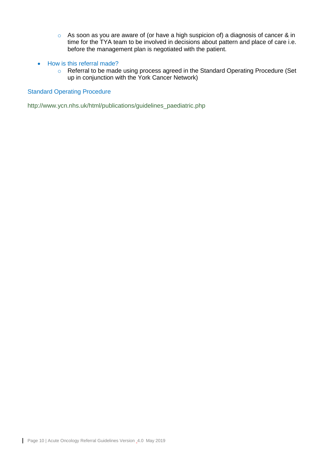- o As soon as you are aware of (or have a high suspicion of) a diagnosis of cancer & in time for the TYA team to be involved in decisions about pattern and place of care i.e. before the management plan is negotiated with the patient.
- How is this referral made?
	- o Referral to be made using process agreed in the Standard Operating Procedure (Set up in conjunction with the York Cancer Network)

#### Standard Operating Procedure

[http://www.ycn.nhs.uk/html/publications/guidelines\\_paediatric.php](http://www.ycn.nhs.uk/html/publications/guidelines_paediatric.php)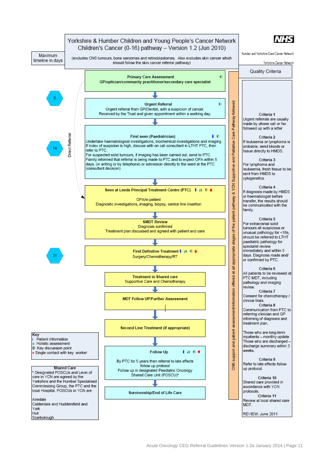